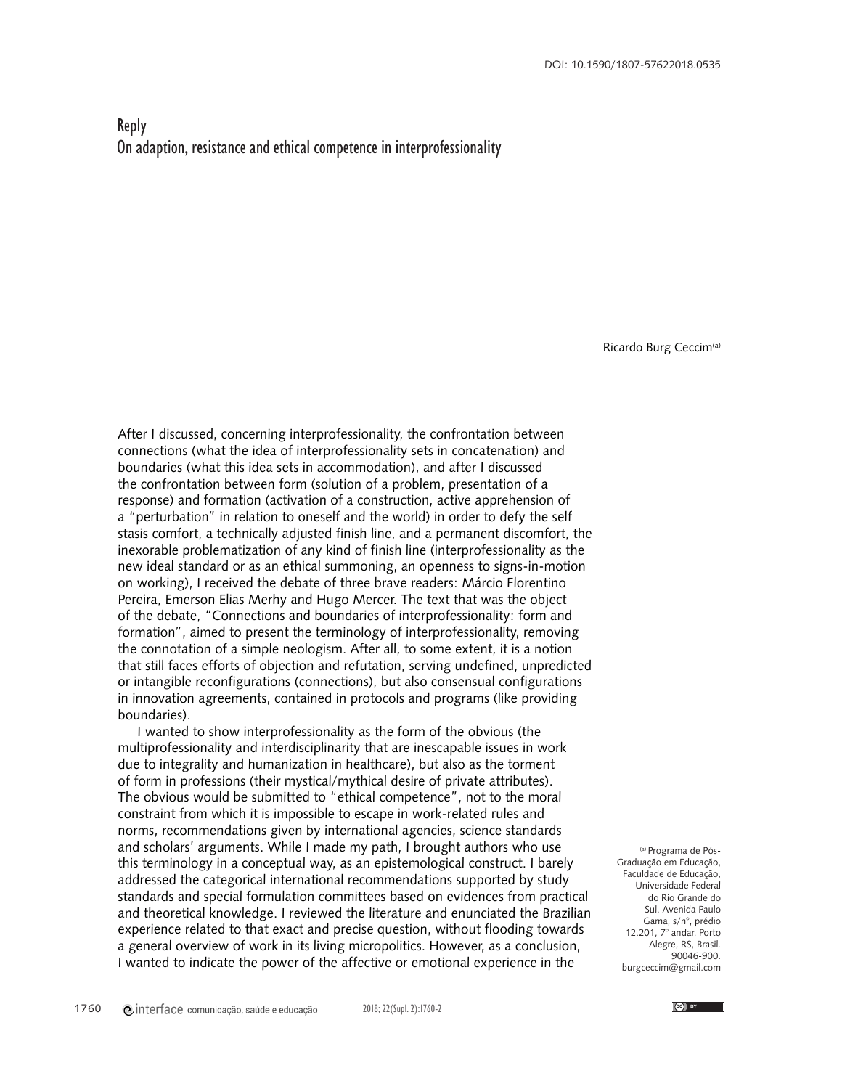## Reply On adaption, resistance and ethical competence in interprofessionality

Ricardo Burg Ceccim<sup>(a)</sup>

After I discussed, concerning interprofessionality, the confrontation between connections (what the idea of interprofessionality sets in concatenation) and boundaries (what this idea sets in accommodation), and after I discussed the confrontation between form (solution of a problem, presentation of a response) and formation (activation of a construction, active apprehension of a "perturbation" in relation to oneself and the world) in order to defy the self stasis comfort, a technically adjusted finish line, and a permanent discomfort, the inexorable problematization of any kind of finish line (interprofessionality as the new ideal standard or as an ethical summoning, an openness to signs-in-motion on working), I received the debate of three brave readers: Márcio Florentino Pereira, Emerson Elias Merhy and Hugo Mercer. The text that was the object of the debate, "Connections and boundaries of interprofessionality: form and formation", aimed to present the terminology of interprofessionality, removing the connotation of a simple neologism. After all, to some extent, it is a notion that still faces efforts of objection and refutation, serving undefined, unpredicted or intangible reconfigurations (connections), but also consensual configurations in innovation agreements, contained in protocols and programs (like providing boundaries).

I wanted to show interprofessionality as the form of the obvious (the multiprofessionality and interdisciplinarity that are inescapable issues in work due to integrality and humanization in healthcare), but also as the torment of form in professions (their mystical/mythical desire of private attributes). The obvious would be submitted to "ethical competence", not to the moral constraint from which it is impossible to escape in work-related rules and norms, recommendations given by international agencies, science standards and scholars' arguments. While I made my path, I brought authors who use this terminology in a conceptual way, as an epistemological construct. I barely addressed the categorical international recommendations supported by study standards and special formulation committees based on evidences from practical and theoretical knowledge. I reviewed the literature and enunciated the Brazilian experience related to that exact and precise question, without flooding towards a general overview of work in its living micropolitics. However, as a conclusion, I wanted to indicate the power of the affective or emotional experience in the

(a) Programa de Pós-Graduação em Educação, Faculdade de Educação, Universidade Federal do Rio Grande do Sul. Avenida Paulo Gama, s/n°, prédio 12.201, 7° andar. Porto Alegre, RS, Brasil. 90046-900. burgceccim@gmail.com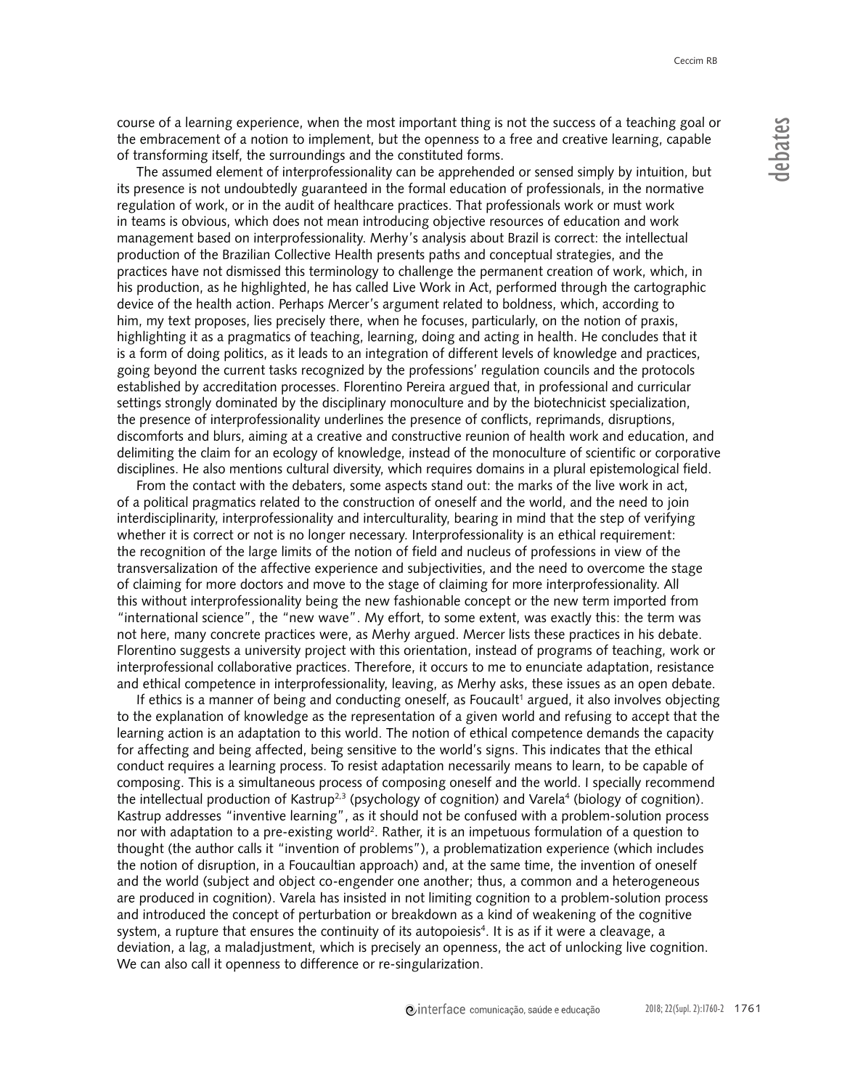course of a learning experience, when the most important thing is not the success of a teaching goal or the embracement of a notion to implement, but the openness to a free and creative learning, capable of transforming itself, the surroundings and the constituted forms.

The assumed element of interprofessionality can be apprehended or sensed simply by intuition, but its presence is not undoubtedly guaranteed in the formal education of professionals, in the normative regulation of work, or in the audit of healthcare practices. That professionals work or must work in teams is obvious, which does not mean introducing objective resources of education and work management based on interprofessionality. Merhy's analysis about Brazil is correct: the intellectual production of the Brazilian Collective Health presents paths and conceptual strategies, and the practices have not dismissed this terminology to challenge the permanent creation of work, which, in his production, as he highlighted, he has called Live Work in Act, performed through the cartographic device of the health action. Perhaps Mercer's argument related to boldness, which, according to him, my text proposes, lies precisely there, when he focuses, particularly, on the notion of praxis, highlighting it as a pragmatics of teaching, learning, doing and acting in health. He concludes that it is a form of doing politics, as it leads to an integration of different levels of knowledge and practices, going beyond the current tasks recognized by the professions' regulation councils and the protocols established by accreditation processes. Florentino Pereira argued that, in professional and curricular settings strongly dominated by the disciplinary monoculture and by the biotechnicist specialization, the presence of interprofessionality underlines the presence of conflicts, reprimands, disruptions, discomforts and blurs, aiming at a creative and constructive reunion of health work and education, and delimiting the claim for an ecology of knowledge, instead of the monoculture of scientific or corporative disciplines. He also mentions cultural diversity, which requires domains in a plural epistemological field.

From the contact with the debaters, some aspects stand out: the marks of the live work in act, of a political pragmatics related to the construction of oneself and the world, and the need to join interdisciplinarity, interprofessionality and interculturality, bearing in mind that the step of verifying whether it is correct or not is no longer necessary. Interprofessionality is an ethical requirement: the recognition of the large limits of the notion of field and nucleus of professions in view of the transversalization of the affective experience and subjectivities, and the need to overcome the stage of claiming for more doctors and move to the stage of claiming for more interprofessionality. All this without interprofessionality being the new fashionable concept or the new term imported from "international science", the "new wave". My effort, to some extent, was exactly this: the term was not here, many concrete practices were, as Merhy argued. Mercer lists these practices in his debate. Florentino suggests a university project with this orientation, instead of programs of teaching, work or interprofessional collaborative practices. Therefore, it occurs to me to enunciate adaptation, resistance and ethical competence in interprofessionality, leaving, as Merhy asks, these issues as an open debate.

If ethics is a manner of being and conducting oneself, as Foucault<sup>1</sup> argued, it also involves objecting to the explanation of knowledge as the representation of a given world and refusing to accept that the learning action is an adaptation to this world. The notion of ethical competence demands the capacity for affecting and being affected, being sensitive to the world's signs. This indicates that the ethical conduct requires a learning process. To resist adaptation necessarily means to learn, to be capable of composing. This is a simultaneous process of composing oneself and the world. I specially recommend the intellectual production of Kastrup<sup>2,3</sup> (psychology of cognition) and Varela<sup>4</sup> (biology of cognition). Kastrup addresses "inventive learning", as it should not be confused with a problem-solution process nor with adaptation to a pre-existing world<sup>2</sup>. Rather, it is an impetuous formulation of a question to thought (the author calls it "invention of problems"), a problematization experience (which includes the notion of disruption, in a Foucaultian approach) and, at the same time, the invention of oneself and the world (subject and object co-engender one another; thus, a common and a heterogeneous are produced in cognition). Varela has insisted in not limiting cognition to a problem-solution process and introduced the concept of perturbation or breakdown as a kind of weakening of the cognitive system, a rupture that ensures the continuity of its autopoiesis<sup>4</sup>. It is as if it were a cleavage, a deviation, a lag, a maladjustment, which is precisely an openness, the act of unlocking live cognition. We can also call it openness to difference or re-singularization.